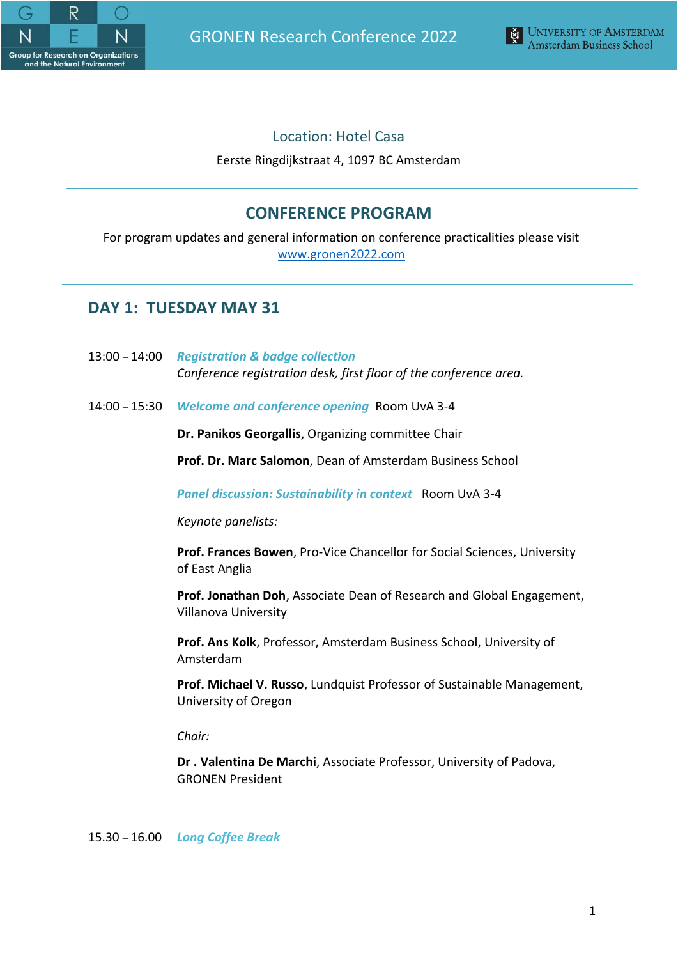

GRONEN Research Conference 2022



# Location: Hotel Casa

Eerste Ringdijkstraat 4, 1097 BC Amsterdam

# **CONFERENCE PROGRAM**

For program updates and general information on conference practicalities please visit [www.gronen2022.com](http://www.gronen2022.com/)

# **DAY 1: TUESDAY MAY 31**

- 13:00 14:00 *Registration & badge collection Conference registration desk, first floor of the conference area.*
- 14:00 15:30 *Welcome and conference opening* Room UvA 3-4

**Dr. Panikos Georgallis**, Organizing committee Chair

**Prof. Dr. Marc Salomon**, Dean of Amsterdam Business School

*Panel discussion: Sustainability in context* Room UvA 3-4

*Keynote panelists:*

**Prof. Frances Bowen**, Pro-Vice Chancellor for Social Sciences, University of East Anglia

**Prof. Jonathan Doh**, Associate Dean of Research and Global Engagement, Villanova University

**Prof. Ans Kolk**, Professor, Amsterdam Business School, University of Amsterdam

**Prof. Michael V. Russo**, Lundquist Professor of Sustainable Management, University of Oregon

*Chair:*

**Dr . Valentina De Marchi**, Associate Professor, University of Padova, GRONEN President

15.30 – 16.00 *Long Coffee Break*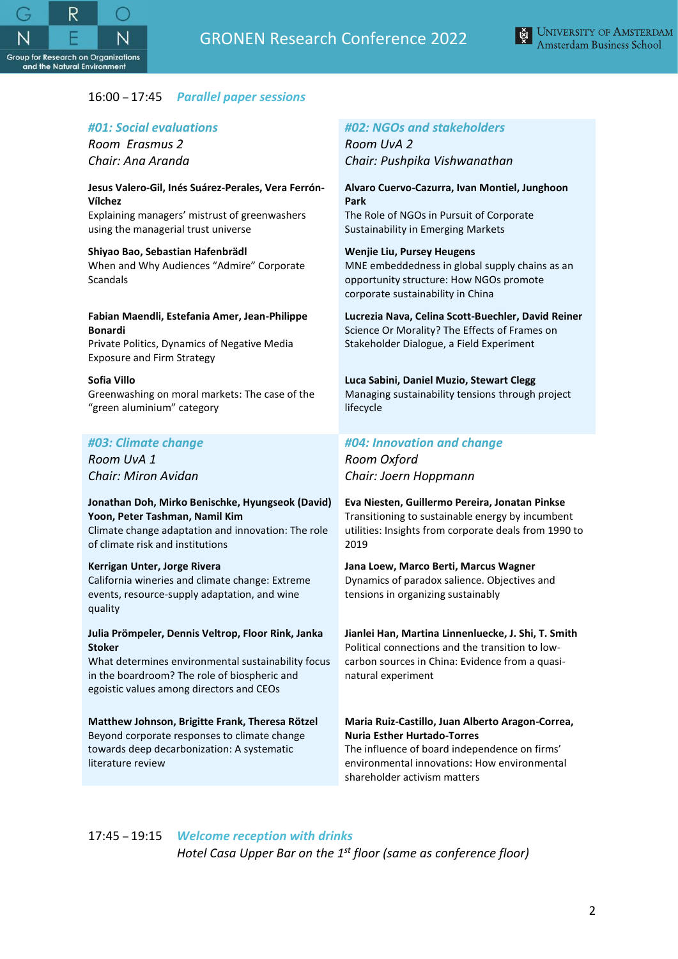



# 16:00 – 17:45 *Parallel paper sessions*

## *#01: Social evaluations*

*Room Erasmus 2 Chair: Ana Aranda*

#### **Jesus Valero-Gil, Inés Suárez-Perales, Vera Ferrón-Vílchez**

Explaining managers' mistrust of greenwashers using the managerial trust universe

#### **Shiyao Bao, Sebastian Hafenbrädl**

When and Why Audiences "Admire" Corporate Scandals

#### **Fabian Maendli, Estefania Amer, Jean-Philippe Bonardi**

Private Politics, Dynamics of Negative Media Exposure and Firm Strategy

### **Sofia Villo**

Greenwashing on moral markets: The case of the "green aluminium" category

# *#03: Climate change*

*Room UvA 1 Chair: Miron Avidan*

#### **Jonathan Doh, Mirko Benischke, Hyungseok (David) Yoon, Peter Tashman, Namil Kim**

Climate change adaptation and innovation: The role of climate risk and institutions

## **Kerrigan Unter, Jorge Rivera**

literature review

California wineries and climate change: Extreme events, resource-supply adaptation, and wine quality

#### **Julia Prömpeler, Dennis Veltrop, Floor Rink, Janka Stoker**

What determines environmental sustainability focus in the boardroom? The role of biospheric and egoistic values among directors and CEOs

### **Matthew Johnson, Brigitte Frank, Theresa Rötzel** Beyond corporate responses to climate change towards deep decarbonization: A systematic

# *#02: NGOs and stakeholders*

*Room UvA 2 Chair: Pushpika Vishwanathan*

## **Alvaro Cuervo-Cazurra, Ivan Montiel, Junghoon Park**

The Role of NGOs in Pursuit of Corporate Sustainability in Emerging Markets

### **Wenjie Liu, Pursey Heugens**

MNE embeddedness in global supply chains as an opportunity structure: How NGOs promote corporate sustainability in China

## **Lucrezia Nava, Celina Scott-Buechler, David Reiner**

Science Or Morality? The Effects of Frames on Stakeholder Dialogue, a Field Experiment

### **Luca Sabini, Daniel Muzio, Stewart Clegg**

Managing sustainability tensions through project lifecycle

# *#04: Innovation and change*

*Room Oxford Chair: Joern Hoppmann*

#### **Eva Niesten, Guillermo Pereira, Jonatan Pinkse** Transitioning to sustainable energy by incumbent utilities: Insights from corporate deals from 1990 to 2019

# **Jana Loew, Marco Berti, Marcus Wagner**

Dynamics of paradox salience. Objectives and tensions in organizing sustainably

# **Jianlei Han, Martina Linnenluecke, J. Shi, T. Smith**

Political connections and the transition to lowcarbon sources in China: Evidence from a quasinatural experiment

# **Maria Ruiz-Castillo, Juan Alberto Aragon-Correa, Nuria Esther Hurtado-Torres**

The influence of board independence on firms' environmental innovations: How environmental shareholder activism matters

# 17:45 – 19:15 *Welcome reception with drinks Hotel Casa Upper Bar on the 1 st floor (same as conference floor)*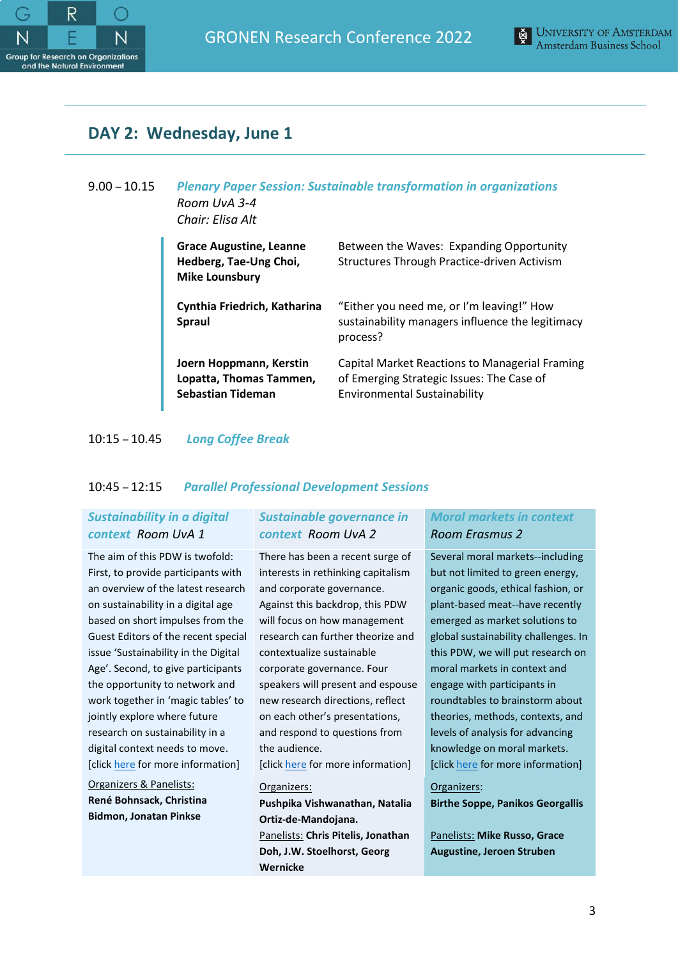



# **DAY 2: Wednesday, June 1**

# 9.00 – 10.15 *Plenary Paper Session: Sustainable transformation in organizations Room UvA 3-4 Chair: Elisa Alt*

| <b>Grace Augustine, Leanne</b><br>Hedberg, Tae-Ung Choi,<br><b>Mike Lounsbury</b> | Between the Waves: Expanding Opportunity<br>Structures Through Practice-driven Activism                                            |
|-----------------------------------------------------------------------------------|------------------------------------------------------------------------------------------------------------------------------------|
| Cynthia Friedrich, Katharina<br>Spraul                                            | "Either you need me, or I'm leaving!" How<br>sustainability managers influence the legitimacy<br>process?                          |
| Joern Hoppmann, Kerstin<br>Lopatta, Thomas Tammen,<br>Sebastian Tideman           | Capital Market Reactions to Managerial Framing<br>of Emerging Strategic Issues: The Case of<br><b>Environmental Sustainability</b> |

10:15 – 10.45 *Long Coffee Break*

# 10:45 – 12:15 *Parallel Professional Development Sessions*

# *Sustainability in a digital context Room UvA 1*

The aim of this PDW is twofold: First, to provide participants with an overview of the latest research on sustainability in a digital age based on short impulses from the Guest Editors of the recent special issue 'Sustainability in the Digital Age'. Second, to give participants the opportunity to network and work together in 'magic tables' to jointly explore where future research on sustainability in a digital context needs to move. [click [here](https://www.gronen2022.com/wiki/707605/program) for more information]

Organizers & Panelists: **René Bohnsack, Christina Bidmon, Jonatan Pinkse**

# *Sustainable governance in context Room UvA 2*

There has been a recent surge of interests in rethinking capitalism and corporate governance. Against this backdrop, this PDW will focus on how management research can further theorize and contextualize sustainable corporate governance. Four speakers will present and espouse new research directions, reflect on each other's presentations, and respond to questions from the audience.

[clic[k here](https://www.gronen2022.com/wiki/707605/program) for more information]

# Organizers: **Pushpika Vishwanathan, Natalia Ortiz-de-Mandojana.** Panelists: **Chris Pitelis, Jonathan Doh, J.W. Stoelhorst, Georg Wernicke**

# *Moral markets in context Room Erasmus 2*

Several moral markets--including but not limited to green energy, organic goods, ethical fashion, or plant-based meat--have recently emerged as market solutions to global sustainability challenges. In this PDW, we will put research on moral markets in context and engage with participants in roundtables to brainstorm about theories, methods, contexts, and levels of analysis for advancing knowledge on moral markets. [click [here](https://www.gronen2022.com/wiki/707605/program) for more information]

## Organizers:

**Birthe Soppe, Panikos Georgallis**

Panelists: **Mike Russo, Grace Augustine, Jeroen Struben**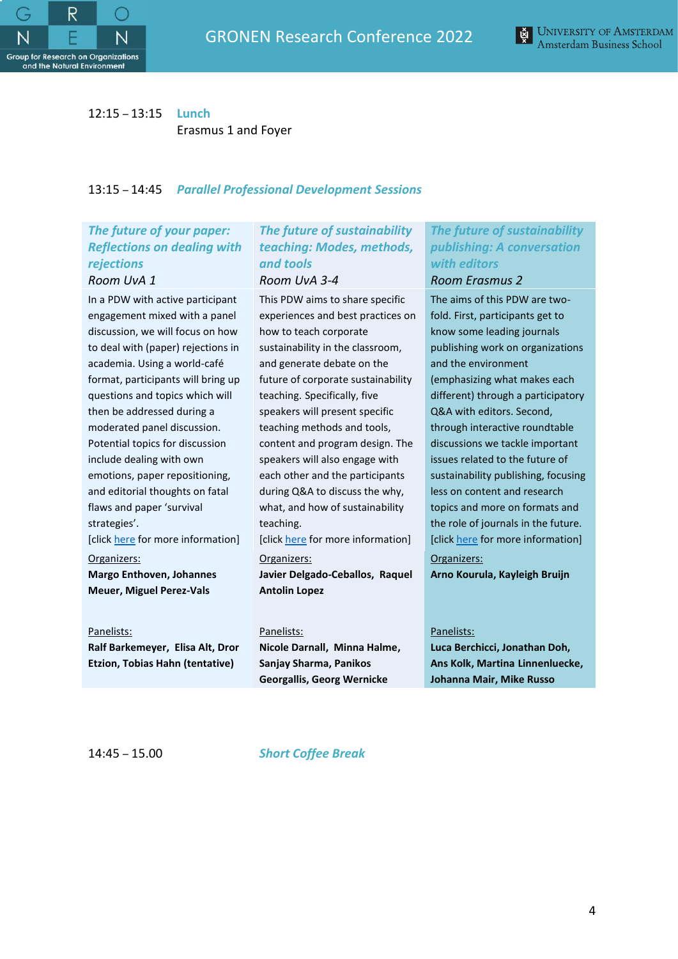



# 12:15 – 13:15 **Lunch**

Erasmus 1 and Foyer

# 13:15 – 14:45 *Parallel Professional Development Sessions*

# *The future of your paper: Reflections on dealing with rejections*

#### *Room UvA 1*

In a PDW with active participant engagement mixed with a panel discussion, we will focus on how to deal with (paper) rejections in academia. Using a world-café format, participants will bring up questions and topics which will then be addressed during a moderated panel discussion. Potential topics for discussion include dealing with own emotions, paper repositioning, and editorial thoughts on fatal flaws and paper 'survival strategies'.

[click [here](https://www.gronen2022.com/wiki/707605/program) for more information]

## Organizers: **Margo Enthoven, Johannes Meuer, Miguel Perez-Vals**

Panelists: **Ralf Barkemeyer, Elisa Alt, Dror** 

**Etzion, Tobias Hahn (tentative)**

# *The future of sustainability teaching: Modes, methods, and tools Room UvA 3-4*

This PDW aims to share specific experiences and best practices on how to teach corporate sustainability in the classroom, and generate debate on the future of corporate sustainability teaching. Specifically, five speakers will present specific teaching methods and tools, content and program design. The speakers will also engage with each other and the participants during Q&A to discuss the why, what, and how of sustainability teaching.

[clic[k here](https://www.gronen2022.com/wiki/707605/program) for more information]

#### Organizers:

**Javier Delgado-Ceballos, Raquel Antolin Lopez**

#### Panelists:

**Nicole Darnall, Minna Halme, Sanjay Sharma, Panikos Georgallis, Georg Wernicke**

*The future of sustainability publishing: A conversation with editors*

### *Room Erasmus 2*

The aims of this PDW are twofold. First, participants get to know some leading journals publishing work on organizations and the environment (emphasizing what makes each different) through a participatory Q&A with editors. Second, through interactive roundtable discussions we tackle important issues related to the future of sustainability publishing, focusing less on content and research topics and more on formats and the role of journals in the future. [click [here](https://www.gronen2022.com/wiki/707605/program) for more information]

Organizers: **Arno Kourula, Kayleigh Bruijn**

## Panelists:

**Luca Berchicci, Jonathan Doh, Ans Kolk, Martina Linnenluecke, Johanna Mair, Mike Russo**

14:45 – 15.00 *Short Coffee Break*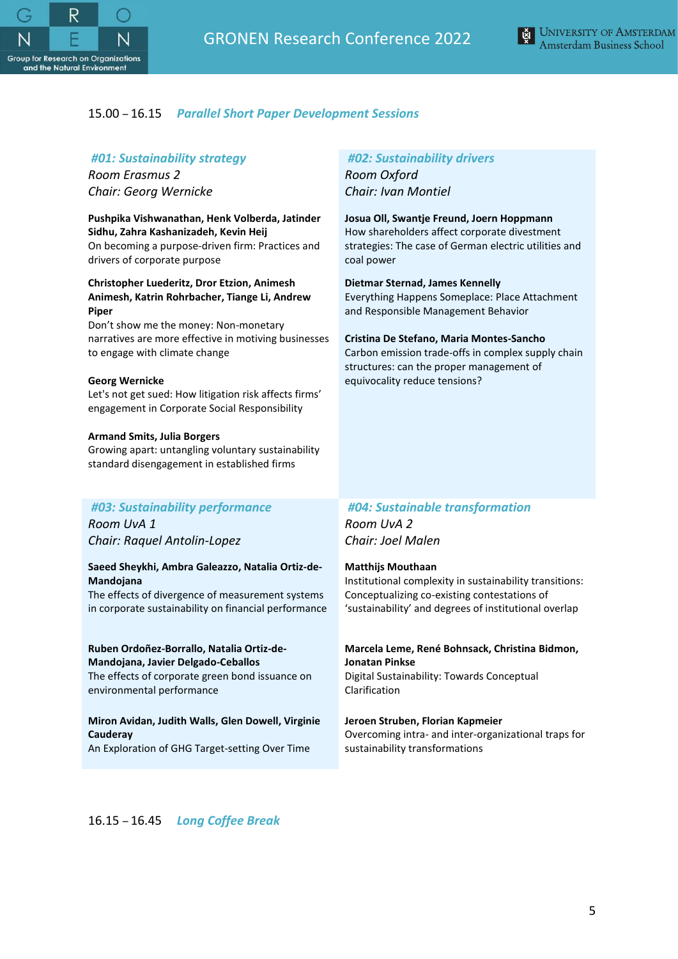



## 15.00 – 16.15 *Parallel Short Paper Development Sessions*

# *#01: Sustainability strategy*

*Room Erasmus 2 Chair: Georg Wernicke*

**Pushpika Vishwanathan, Henk Volberda, Jatinder Sidhu, Zahra Kashanizadeh, Kevin Heij** On becoming a purpose-driven firm: Practices and drivers of corporate purpose

#### **Christopher Luederitz, Dror Etzion, Animesh Animesh, Katrin Rohrbacher, Tiange Li, Andrew Piper**

Don't show me the money: Non-monetary narratives are more effective in motiving businesses to engage with climate change

#### **Georg Wernicke**

Let's not get sued: How litigation risk affects firms' engagement in Corporate Social Responsibility

#### **Armand Smits, Julia Borgers**

Growing apart: untangling voluntary sustainability standard disengagement in established firms

#### *#03: Sustainability performance*

*Room UvA 1 Chair: Raquel Antolin-Lopez*

#### **Saeed Sheykhi, Ambra Galeazzo, Natalia Ortiz-de-Mandojana**

The effects of divergence of measurement systems in corporate sustainability on financial performance

#### **Ruben Ordoñez-Borrallo, Natalia Ortiz-de-Mandojana, Javier Delgado-Ceballos**

The effects of corporate green bond issuance on environmental performance

#### **Miron Avidan, Judith Walls, Glen Dowell, Virginie Cauderay**

An Exploration of GHG Target-setting Over Time

### *#02: Sustainability drivers*

*Room Oxford Chair: Ivan Montiel*

# **Josua Oll, Swantje Freund, Joern Hoppmann**

How shareholders affect corporate divestment strategies: The case of German electric utilities and coal power

#### **Dietmar Sternad, James Kennelly**

Everything Happens Someplace: Place Attachment and Responsible Management Behavior

#### **Cristina De Stefano, Maria Montes-Sancho**

Carbon emission trade-offs in complex supply chain structures: can the proper management of equivocality reduce tensions?

# *#04: Sustainable transformation*

*Room UvA 2 Chair: Joel Malen*

#### **Matthijs Mouthaan**

Institutional complexity in sustainability transitions: Conceptualizing co-existing contestations of 'sustainability' and degrees of institutional overlap

# **Marcela Leme, René Bohnsack, Christina Bidmon, Jonatan Pinkse**

Digital Sustainability: Towards Conceptual Clarification

#### **Jeroen Struben, Florian Kapmeier**

Overcoming intra- and inter-organizational traps for sustainability transformations

16.15 – 16.45 *Long Coffee Break*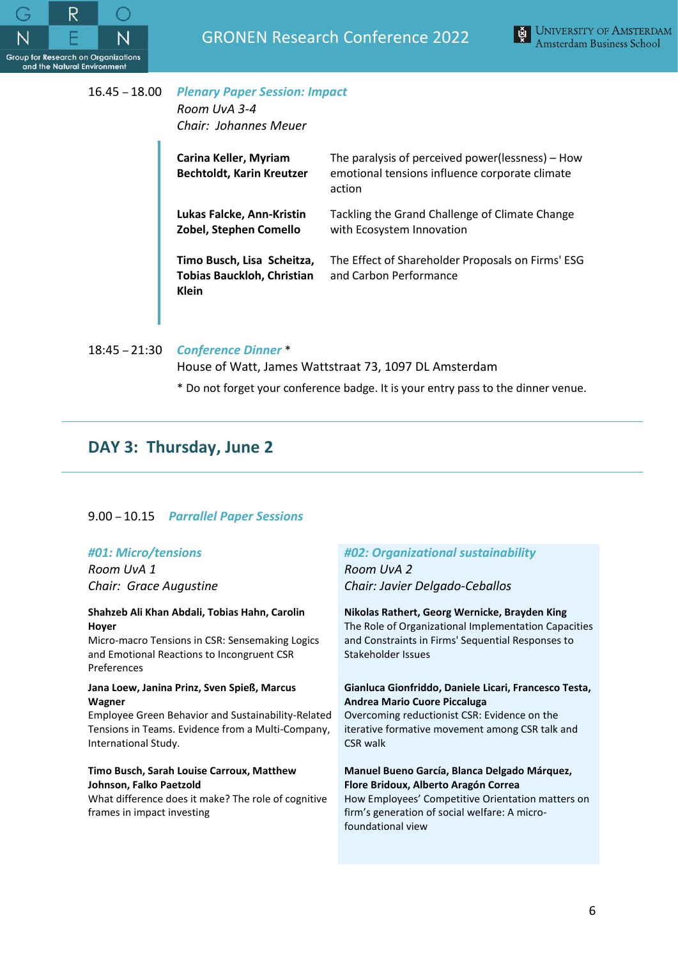



# 16.45 – 18.00 *Plenary Paper Session: Impact Room UvA 3-4 Chair: Johannes Meuer*

| Carina Keller, Myriam<br><b>Bechtoldt, Karin Kreutzer</b>                | The paralysis of perceived power(lessness) – How<br>emotional tensions influence corporate climate<br>action |
|--------------------------------------------------------------------------|--------------------------------------------------------------------------------------------------------------|
| Lukas Falcke, Ann-Kristin<br>Zobel, Stephen Comello                      | Tackling the Grand Challenge of Climate Change<br>with Ecosystem Innovation                                  |
| Timo Busch, Lisa Scheitza,<br><b>Tobias Bauckloh, Christian</b><br>Klein | The Effect of Shareholder Proposals on Firms' ESG<br>and Carbon Performance                                  |

18:45 – 21:30 *Conference Dinner* \*

House of Watt, James Wattstraat 73, 1097 DL Amsterdam

\* Do not forget your conference badge. It is your entry pass to the dinner venue.

# **DAY 3: Thursday, June 2**

# 9.00 – 10.15 *Parrallel Paper Sessions*

# *#01: Micro/tensions*

*Room UvA 1 Chair: Grace Augustine*

#### **Shahzeb Ali Khan Abdali, Tobias Hahn, Carolin Hoyer**

Micro-macro Tensions in CSR: Sensemaking Logics and Emotional Reactions to Incongruent CSR Preferences

#### **Jana Loew, Janina Prinz, Sven Spieß, Marcus Wagner**

Employee Green Behavior and Sustainability-Related Tensions in Teams. Evidence from a Multi-Company, International Study.

### **Timo Busch, Sarah Louise Carroux, Matthew Johnson, Falko Paetzold**

What difference does it make? The role of cognitive frames in impact investing

# *#02: Organizational sustainability*

*Room UvA 2 Chair: Javier Delgado-Ceballos*

#### **Nikolas Rathert, Georg Wernicke, Brayden King**

The Role of Organizational Implementation Capacities and Constraints in Firms' Sequential Responses to Stakeholder Issues

## **Gianluca Gionfriddo, Daniele Licari, Francesco Testa, Andrea Mario Cuore Piccaluga**

Overcoming reductionist CSR: Evidence on the iterative formative movement among CSR talk and CSR walk

## **Manuel Bueno García, Blanca Delgado Márquez, Flore Bridoux, Alberto Aragón Correa**

How Employees' Competitive Orientation matters on firm's generation of social welfare: A microfoundational view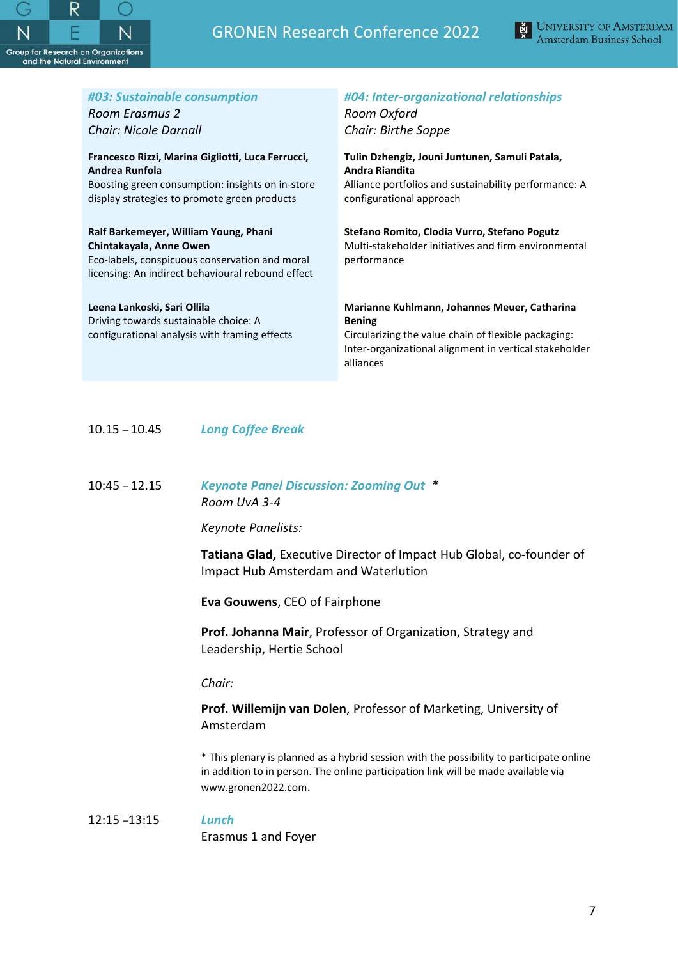

# GRONEN Research Conference 2022



| #03: Sustainable consumption                      | #04: Inter-organizational relationships                             |
|---------------------------------------------------|---------------------------------------------------------------------|
| Room Erasmus 2                                    | Room Oxford                                                         |
| Chair: Nicole Darnall                             | Chair: Birthe Soppe                                                 |
| Francesco Rizzi, Marina Gigliotti, Luca Ferrucci, | Tulin Dzhengiz, Jouni Juntunen, Samuli Patala,                      |
| Andrea Runfola                                    | Andra Riandita                                                      |
| Boosting green consumption: insights on in-store  | Alliance portfolios and sustainability performance: A               |
| display strategies to promote green products      | configurational approach                                            |
| Ralf Barkemeyer, William Young, Phani             | Stefano Romito, Clodia Vurro, Stefano Pogutz                        |
| Chintakayala, Anne Owen                           | Multi-stakeholder initiatives and firm environmental                |
| Eco-labels, conspicuous conservation and moral    | performance                                                         |
| licensing: An indirect behavioural rebound effect |                                                                     |
|                                                   |                                                                     |
| Leena Lankoski, Sari Ollila                       | Marianne Kuhlmann, Johannes Meuer, Catharina                        |
| Driving towards sustainable choice: A             | <b>Bening</b>                                                       |
| configurational analysis with framing effects     | Circularizing the value chain of flexible packaging:                |
|                                                   | Inter-organizational alignment in vertical stakeholder<br>alliances |

10.15 – 10.45 *Long Coffee Break*

# 10:45 – 12.15 *Keynote Panel Discussion: Zooming Out \* Room UvA 3-4*

*Keynote Panelists:*

**Tatiana Glad,** Executive Director of Impact Hub Global, co-founder of Impact Hub Amsterdam and Waterlution

**Eva Gouwens**, CEO of Fairphone

**Prof. Johanna Mair**, Professor of Organization, Strategy and Leadership, Hertie School

*Chair:*

# **Prof. Willemijn van Dolen**, Professor of Marketing, University of Amsterdam

\* This plenary is planned as a hybrid session with the possibility to participate online in addition to in person. The online participation link will be made available via www.gronen2022.com.

## 12:15 –13:15 *Lunch*

Erasmus 1 and Foyer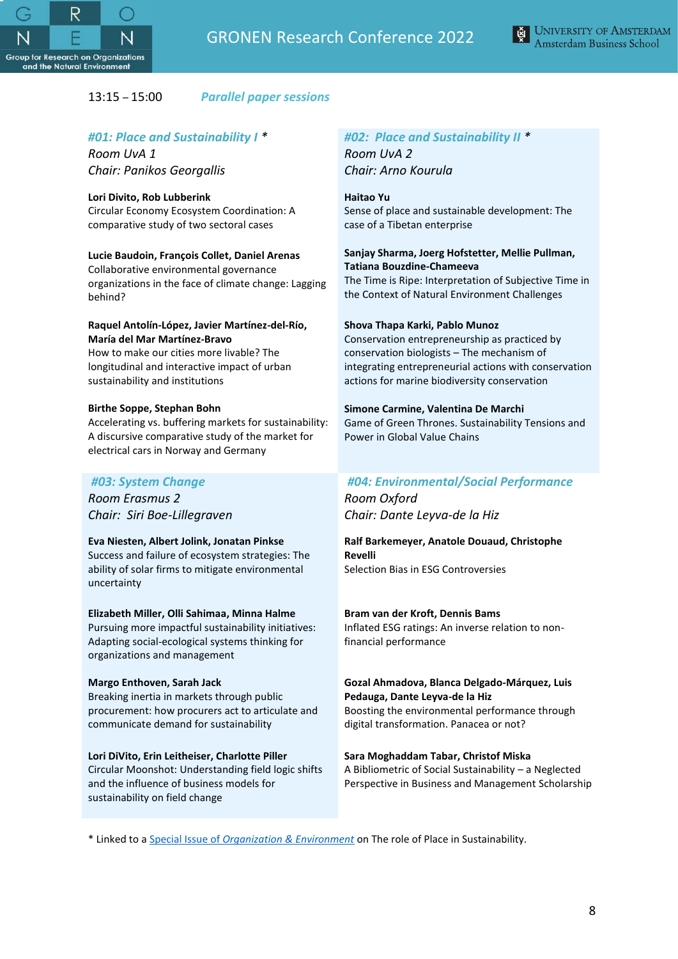



# 13:15 – 15:00 *Parallel paper sessions*

## *#01: Place and Sustainability I \**

*Room UvA 1 Chair: Panikos Georgallis*

#### **Lori Divito, Rob Lubberink**

Circular Economy Ecosystem Coordination: A comparative study of two sectoral cases

## **Lucie Baudoin, François Collet, Daniel Arenas**

Collaborative environmental governance organizations in the face of climate change: Lagging behind?

#### **Raquel Antolín-López, Javier Martínez-del-Río, María del Mar Martínez-Bravo**

How to make our cities more livable? The longitudinal and interactive impact of urban sustainability and institutions

#### **Birthe Soppe, Stephan Bohn**

Accelerating vs. buffering markets for sustainability: A discursive comparative study of the market for electrical cars in Norway and Germany

## *#03: System Change*

*Room Erasmus 2 Chair: Siri Boe-Lillegraven* 

#### **Eva Niesten, Albert Jolink, Jonatan Pinkse**

Success and failure of ecosystem strategies: The ability of solar firms to mitigate environmental uncertainty

#### **Elizabeth Miller, Olli Sahimaa, Minna Halme**

Pursuing more impactful sustainability initiatives: Adapting social-ecological systems thinking for organizations and management

#### **Margo Enthoven, Sarah Jack** Breaking inertia in markets through public

procurement: how procurers act to articulate and communicate demand for sustainability

#### **Lori DiVito, Erin Leitheiser, Charlotte Piller**

Circular Moonshot: Understanding field logic shifts and the influence of business models for sustainability on field change

## *#02: Place and Sustainability II \* Room UvA 2 Chair: Arno Kourula*

**Haitao Yu**

Sense of place and sustainable development: The case of a Tibetan enterprise

# **Sanjay Sharma, Joerg Hofstetter, Mellie Pullman, Tatiana Bouzdine-Chameeva**

The Time is Ripe: Interpretation of Subjective Time in the Context of Natural Environment Challenges

### **Shova Thapa Karki, Pablo Munoz**

Conservation entrepreneurship as practiced by conservation biologists – The mechanism of integrating entrepreneurial actions with conservation actions for marine biodiversity conservation

### **Simone Carmine, Valentina De Marchi**

Game of Green Thrones. Sustainability Tensions and Power in Global Value Chains

# *#04: Environmental/Social Performance*

*Room Oxford Chair: Dante Leyva-de la Hiz*

#### **Ralf Barkemeyer, Anatole Douaud, Christophe Revelli** Selection Bias in ESG Controversies

#### **Bram van der Kroft, Dennis Bams**

Inflated ESG ratings: An inverse relation to nonfinancial performance

#### **Gozal Ahmadova, Blanca Delgado-Márquez, Luis Pedauga, Dante Leyva-de la Hiz**

Boosting the environmental performance through digital transformation. Panacea or not?

#### **Sara Moghaddam Tabar, Christof Miska**

A Bibliometric of Social Sustainability – a Neglected Perspective in Business and Management Scholarship

\* Linked to a Special Issue of *[Organization & Environment](https://journals.sagepub.com/pb-assets/cmscontent/OAE/OE_CfP_PlaceSustainability_23January2022-1644875837.pdf)* on The role of Place in Sustainability.